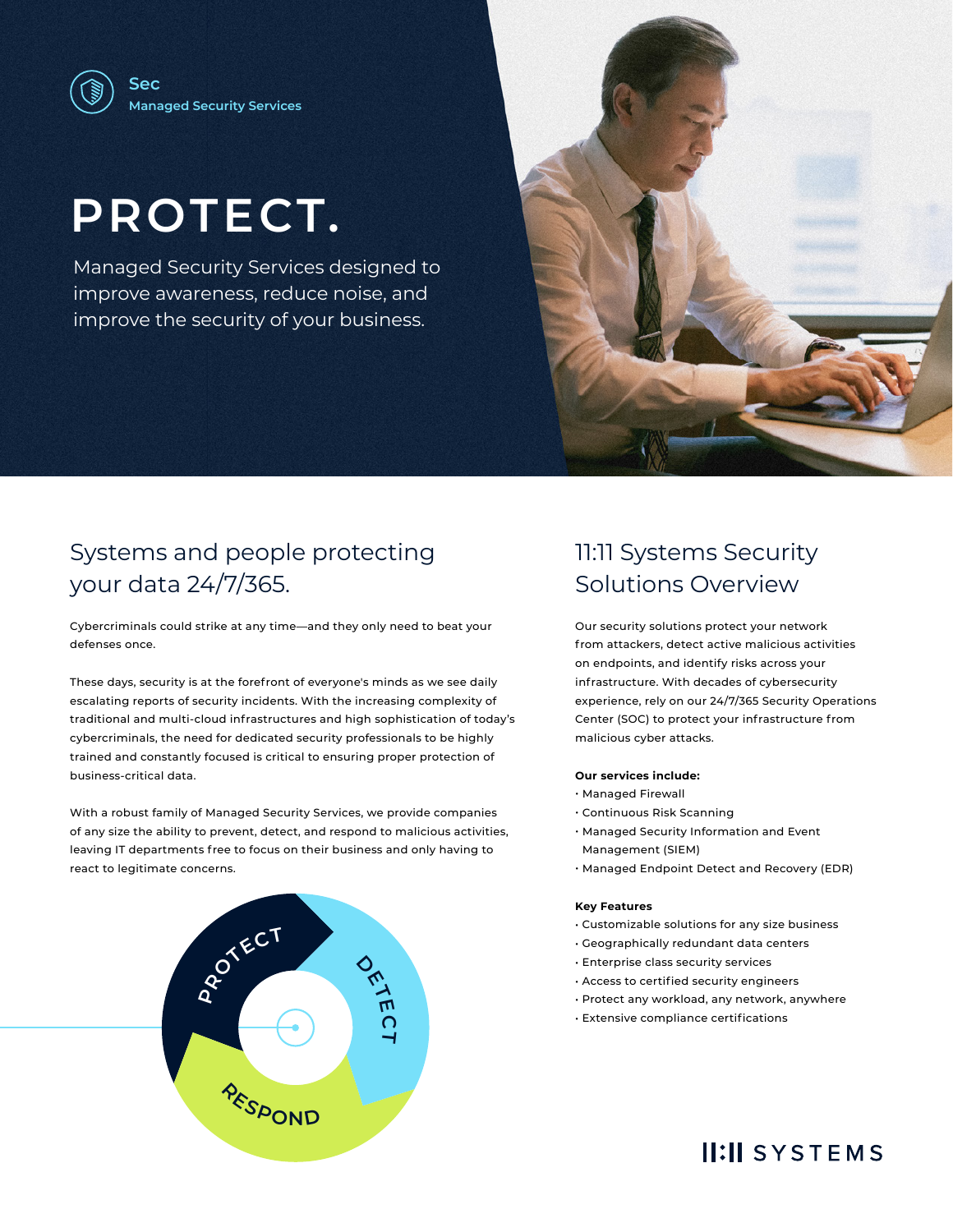# **PROTECT.**

Managed Security Services designed to improve awareness, reduce noise, and improve the security of your business.



## Systems and people protecting your data 24/7/365.

Cybercriminals could strike at any time—and they only need to beat your defenses once.

These days, security is at the forefront of everyone's minds as we see daily escalating reports of security incidents. With the increasing complexity of traditional and multi-cloud infrastructures and high sophistication of today's cybercriminals, the need for dedicated security professionals to be highly trained and constantly focused is critical to ensuring proper protection of business-critical data.

With a robust family of Managed Security Services, we provide companies of any size the ability to prevent, detect, and respond to malicious activities, leaving IT departments free to focus on their business and only having to react to legitimate concerns.



## 11:11 Systems Security Solutions Overview

Our security solutions protect your network from attackers, detect active malicious activities on endpoints, and identify risks across your infrastructure. With decades of cybersecurity experience, rely on our 24/7/365 Security Operations Center (SOC) to protect your infrastructure from malicious cyber attacks.

#### **Our services include:**

- Managed Firewall
- Continuous Risk Scanning
- Managed Security Information and Event Management (SIEM)
- Managed Endpoint Detect and Recovery (EDR)

#### **Key Features**

- Customizable solutions for any size business
- Geographically redundant data centers
- Enterprise class security services
- Access to certified security engineers
- Protect any workload, any network, anywhere
- Extensive compliance certifications

## **II:II SYSTEMS**